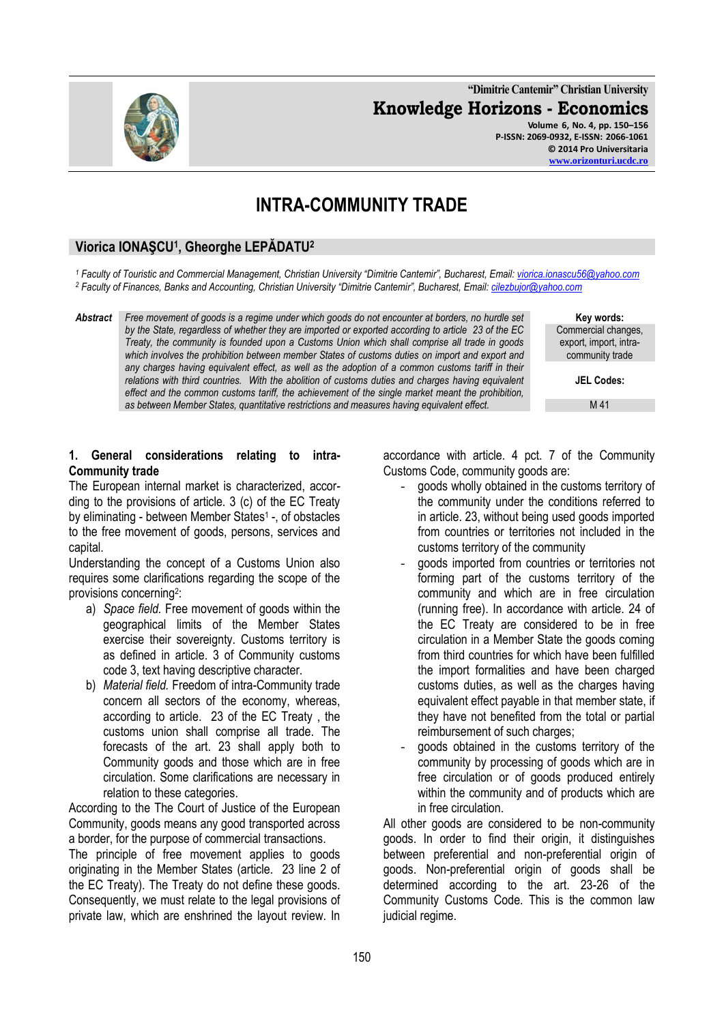**"Dimitrie Cantemir" Christian University Knowledge Horizons - Economics Volume 6, No. 4, pp. 150–156**

**P-ISSN: 2069-0932, E-ISSN: 2066-1061 © 2014 Pro Universitaria [www.orizonturi.ucdc.ro](http://www.orizonturi.ucdc.ro/)**

# **INTRA-COMMUNITY TRADE**

# **Viorica IONAŞCU<sup>1</sup> , Gheorghe LEPĂDATU<sup>2</sup>**

*<sup>1</sup> Faculty of Touristic and Commercial Management, Christian University "Dimitrie Cantemir", Bucharest, Email: [viorica.ionascu56@yahoo.com](mailto:viorica.ionascu56@yahoo.com) <sup>2</sup> Faculty of Finances, Banks and Accounting, Christian University "Dimitrie Cantemir", Bucharest, Email: [cilezbujor@yahoo.com](mailto:cilezbujor@yahoo.com)*

*Abstract Free movement of goods is a regime under which goods do not encounter at borders, no hurdle set by the State, regardless of whether they are imported or exported according to article 23 of the EC Treaty, the community is founded upon a Customs Union which shall comprise all trade in goods*  which involves the prohibition between member States of customs duties on import and export and *any charges having equivalent effect, as well as the adoption of a common customs tariff in their relations with third countries. With the abolition of customs duties and charges having equivalent effect and the common customs tariff, the achievement of the single market meant the prohibition, as between Member States, quantitative restrictions and measures having equivalent effect.*

**Key words:** Commercial changes, export, import, intracommunity trade

**JEL Codes:**

M 41

# **1. General considerations relating to intra-Community trade**

The European internal market is characterized, according to the provisions of article. 3 (c) of the EC Treaty by eliminating - between Member States<sup>1</sup> -, of obstacles to the free movement of goods, persons, services and capital.

Understanding the concept of a Customs Union also requires some clarifications regarding the scope of the provisions concerning<sup>2</sup>:

- a) *Space field.* Free movement of goods within the geographical limits of the Member States exercise their sovereignty. Customs territory is as defined in article. 3 of Community customs code 3, text having descriptive character.
- b) *Material field.* Freedom of intra-Community trade concern all sectors of the economy, whereas, according to article. 23 of the EC Treaty , the customs union shall comprise all trade. The forecasts of the art. 23 shall apply both to Community goods and those which are in free circulation. Some clarifications are necessary in relation to these categories.

According to the The Court of Justice of the European Community, goods means any good transported across a border, for the purpose of commercial transactions.

The principle of free movement applies to goods originating in the Member States (article. 23 line 2 of the EC Treaty). The Treaty do not define these goods. Consequently, we must relate to the legal provisions of private law, which are enshrined the layout review. In accordance with article. 4 pct. 7 of the Community Customs Code, community goods are:

- goods wholly obtained in the customs territory of the community under the conditions referred to in article. 23, without being used goods imported from countries or territories not included in the customs territory of the community
- goods imported from countries or territories not forming part of the customs territory of the community and which are in free circulation (running free). In accordance with article. 24 of the EC Treaty are considered to be in free circulation in a Member State the goods coming from third countries for which have been fulfilled the import formalities and have been charged customs duties, as well as the charges having equivalent effect payable in that member state, if they have not benefited from the total or partial reimbursement of such charges;
- goods obtained in the customs territory of the community by processing of goods which are in free circulation or of goods produced entirely within the community and of products which are in free circulation.

All other goods are considered to be non-community goods. In order to find their origin, it distinguishes between preferential and non-preferential origin of goods. Non-preferential origin of goods shall be determined according to the art. 23-26 of the Community Customs Code. This is the common law judicial regime.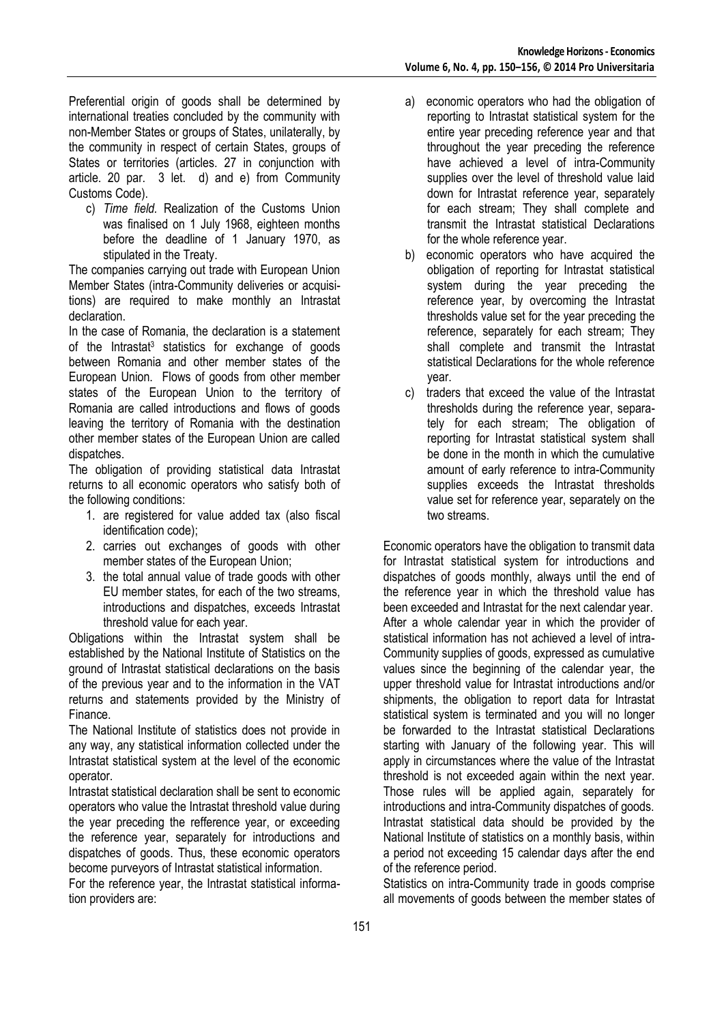Preferential origin of goods shall be determined by international treaties concluded by the community with non-Member States or groups of States, unilaterally, by the community in respect of certain States, groups of States or territories (articles. 27 in conjunction with article. 20 par. 3 let. d) and e) from Community Customs Code).

c) *Time field.* Realization of the Customs Union was finalised on 1 July 1968, eighteen months before the deadline of 1 January 1970, as stipulated in the Treaty.

The companies carrying out trade with European Union Member States (intra-Community deliveries or acquisitions) are required to make monthly an Intrastat declaration.

In the case of Romania, the declaration is a statement of the Intrastat<sup>3</sup> statistics for exchange of goods between Romania and other member states of the European Union. Flows of goods from other member states of the European Union to the territory of Romania are called introductions and flows of goods leaving the territory of Romania with the destination other member states of the European Union are called dispatches.

The obligation of providing statistical data Intrastat returns to all economic operators who satisfy both of the following conditions:

- 1. are registered for value added tax (also fiscal identification code);
- 2. carries out exchanges of goods with other member states of the European Union;
- 3. the total annual value of trade goods with other EU member states, for each of the two streams, introductions and dispatches, exceeds Intrastat threshold value for each year.

Obligations within the Intrastat system shall be established by the National Institute of Statistics on the ground of Intrastat statistical declarations on the basis of the previous year and to the information in the VAT returns and statements provided by the Ministry of Finance.

The National Institute of statistics does not provide in any way, any statistical information collected under the Intrastat statistical system at the level of the economic operator.

Intrastat statistical declaration shall be sent to economic operators who value the Intrastat threshold value during the year preceding the refference year, or exceeding the reference year, separately for introductions and dispatches of goods. Thus, these economic operators become purveyors of Intrastat statistical information.

For the reference year, the Intrastat statistical information providers are:

- a) economic operators who had the obligation of reporting to Intrastat statistical system for the entire year preceding reference year and that throughout the year preceding the reference have achieved a level of intra-Community supplies over the level of threshold value laid down for Intrastat reference year, separately for each stream; They shall complete and transmit the Intrastat statistical Declarations for the whole reference year.
- b) economic operators who have acquired the obligation of reporting for Intrastat statistical system during the year preceding the reference year, by overcoming the Intrastat thresholds value set for the year preceding the reference, separately for each stream; They shall complete and transmit the Intrastat statistical Declarations for the whole reference year.
- c) traders that exceed the value of the Intrastat thresholds during the reference year, separately for each stream; The obligation of reporting for Intrastat statistical system shall be done in the month in which the cumulative amount of early reference to intra-Community supplies exceeds the Intrastat thresholds value set for reference year, separately on the two streams.

Economic operators have the obligation to transmit data for Intrastat statistical system for introductions and dispatches of goods monthly, always until the end of the reference year in which the threshold value has been exceeded and Intrastat for the next calendar year. After a whole calendar year in which the provider of statistical information has not achieved a level of intra-Community supplies of goods, expressed as cumulative values since the beginning of the calendar year, the upper threshold value for Intrastat introductions and/or shipments, the obligation to report data for Intrastat statistical system is terminated and you will no longer be forwarded to the Intrastat statistical Declarations starting with January of the following year. This will apply in circumstances where the value of the Intrastat threshold is not exceeded again within the next year. Those rules will be applied again, separately for introductions and intra-Community dispatches of goods. Intrastat statistical data should be provided by the National Institute of statistics on a monthly basis, within a period not exceeding 15 calendar days after the end of the reference period.

Statistics on intra-Community trade in goods comprise all movements of goods between the member states of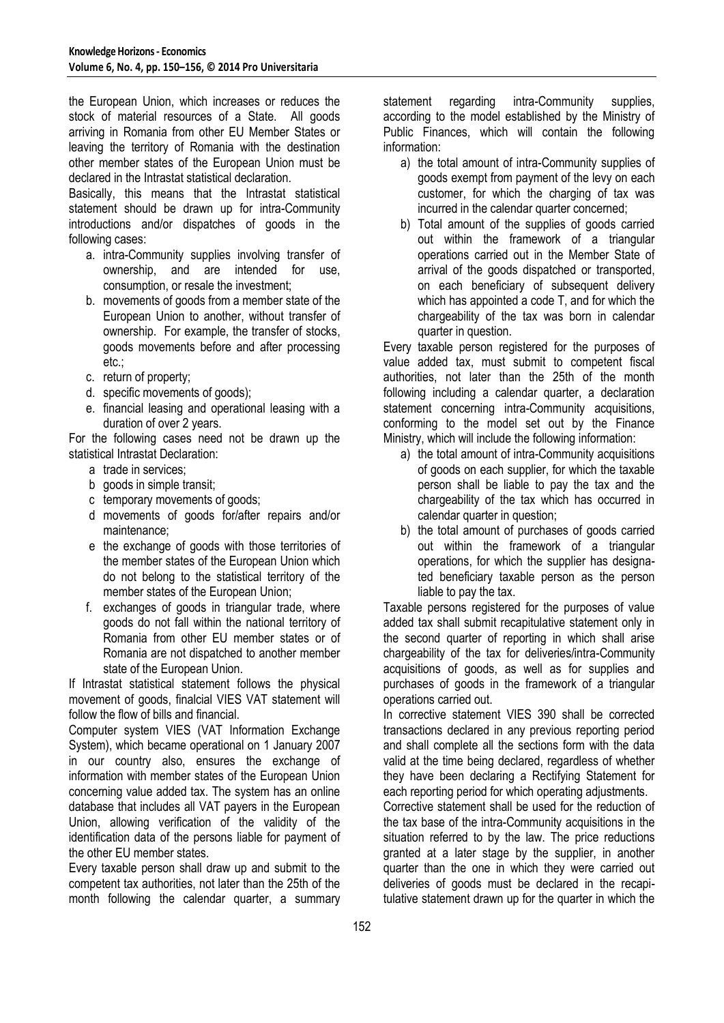the European Union, which increases or reduces the stock of material resources of a State. All goods arriving in Romania from other EU Member States or leaving the territory of Romania with the destination other member states of the European Union must be declared in the Intrastat statistical declaration.

Basically, this means that the Intrastat statistical statement should be drawn up for intra-Community introductions and/or dispatches of goods in the following cases:

- a. intra-Community supplies involving transfer of ownership, and are intended for use, consumption, or resale the investment;
- b. movements of goods from a member state of the European Union to another, without transfer of ownership. For example, the transfer of stocks, goods movements before and after processing etc.;
- c. return of property;
- d. specific movements of goods);
- e. financial leasing and operational leasing with a duration of over 2 years.

For the following cases need not be drawn up the statistical Intrastat Declaration:

- a trade in services;
- b goods in simple transit;
- c temporary movements of goods;
- d movements of goods for/after repairs and/or maintenance;
- e the exchange of goods with those territories of the member states of the European Union which do not belong to the statistical territory of the member states of the European Union;
- f. exchanges of goods in triangular trade, where goods do not fall within the national territory of Romania from other EU member states or of Romania are not dispatched to another member state of the European Union.

If Intrastat statistical statement follows the physical movement of goods, finalcial VIES VAT statement will follow the flow of bills and financial.

Computer system VIES (VAT Information Exchange System), which became operational on 1 January 2007 in our country also, ensures the exchange of information with member states of the European Union concerning value added tax. The system has an online database that includes all VAT payers in the European Union, allowing verification of the validity of the identification data of the persons liable for payment of the other EU member states.

Every taxable person shall draw up and submit to the competent tax authorities, not later than the 25th of the month following the calendar quarter, a summary statement regarding intra-Community supplies, according to the model established by the Ministry of Public Finances, which will contain the following information:

- a) the total amount of intra-Community supplies of goods exempt from payment of the levy on each customer, for which the charging of tax was incurred in the calendar quarter concerned;
- b) Total amount of the supplies of goods carried out within the framework of a triangular operations carried out in the Member State of arrival of the goods dispatched or transported, on each beneficiary of subsequent delivery which has appointed a code T, and for which the chargeability of the tax was born in calendar quarter in question.

Every taxable person registered for the purposes of value added tax, must submit to competent fiscal authorities, not later than the 25th of the month following including a calendar quarter, a declaration statement concerning intra-Community acquisitions, conforming to the model set out by the Finance Ministry, which will include the following information:

- a) the total amount of intra-Community acquisitions of goods on each supplier, for which the taxable person shall be liable to pay the tax and the chargeability of the tax which has occurred in calendar quarter in question;
- b) the total amount of purchases of goods carried out within the framework of a triangular operations, for which the supplier has designated beneficiary taxable person as the person liable to pay the tax.

Taxable persons registered for the purposes of value added tax shall submit recapitulative statement only in the second quarter of reporting in which shall arise chargeability of the tax for deliveries/intra-Community acquisitions of goods, as well as for supplies and purchases of goods in the framework of a triangular operations carried out.

In corrective statement VIES 390 shall be corrected transactions declared in any previous reporting period and shall complete all the sections form with the data valid at the time being declared, regardless of whether they have been declaring a Rectifying Statement for each reporting period for which operating adjustments.

Corrective statement shall be used for the reduction of the tax base of the intra-Community acquisitions in the situation referred to by the law. The price reductions granted at a later stage by the supplier, in another quarter than the one in which they were carried out deliveries of goods must be declared in the recapitulative statement drawn up for the quarter in which the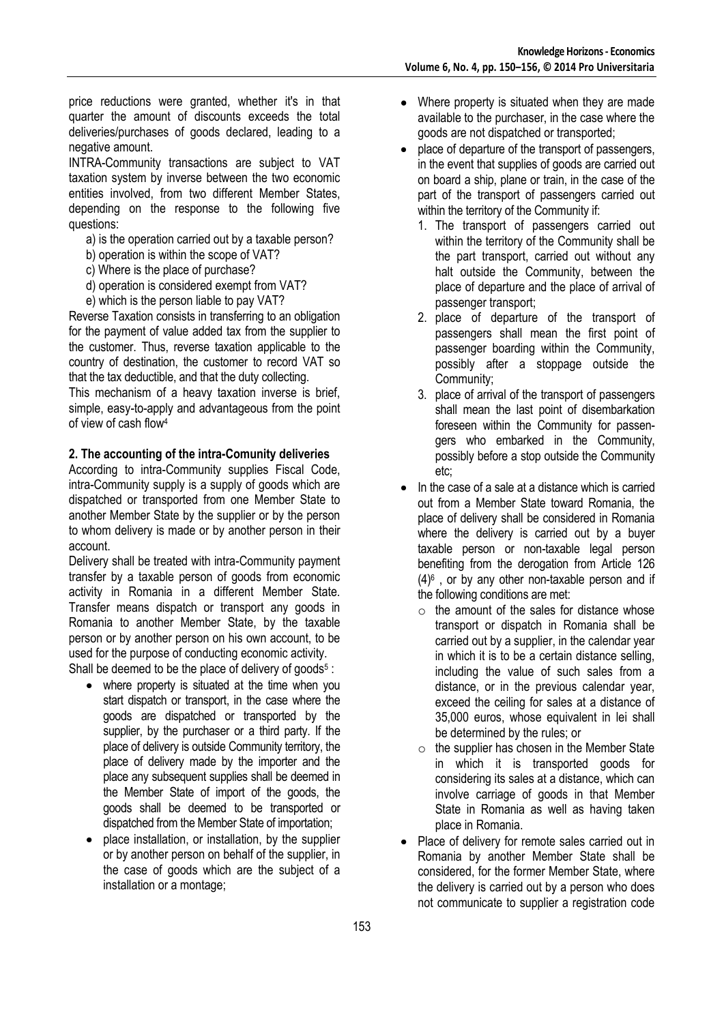price reductions were granted, whether it's in that quarter the amount of discounts exceeds the total deliveries/purchases of goods declared, leading to a negative amount.

INTRA-Community transactions are subject to VAT taxation system by inverse between the two economic entities involved, from two different Member States, depending on the response to the following five questions:

- a) is the operation carried out by a taxable person?
- b) operation is within the scope of VAT?
- c) Where is the place of purchase?
- d) operation is considered exempt from VAT?
- e) which is the person liable to pay VAT?

Reverse Taxation consists in transferring to an obligation for the payment of value added tax from the supplier to the customer. Thus, reverse taxation applicable to the country of destination, the customer to record VAT so that the tax deductible, and that the duty collecting.

This mechanism of a heavy taxation inverse is brief, simple, easy-to-apply and advantageous from the point of view of cash flow<sup>4</sup>

#### **2. The accounting of the intra-Comunity deliveries**

According to intra-Community supplies Fiscal Code, intra-Community supply is a supply of goods which are dispatched or transported from one Member State to another Member State by the supplier or by the person to whom delivery is made or by another person in their account.

Delivery shall be treated with intra-Community payment transfer by a taxable person of goods from economic activity in Romania in a different Member State. Transfer means dispatch or transport any goods in Romania to another Member State, by the taxable person or by another person on his own account, to be used for the purpose of conducting economic activity.

Shall be deemed to be the place of delivery of goods<sup>5</sup>:

- where property is situated at the time when you start dispatch or transport, in the case where the goods are dispatched or transported by the supplier, by the purchaser or a third party. If the place of delivery is outside Community territory, the place of delivery made by the importer and the place any subsequent supplies shall be deemed in the Member State of import of the goods, the goods shall be deemed to be transported or dispatched from the Member State of importation;
- place installation, or installation, by the supplier or by another person on behalf of the supplier, in the case of goods which are the subject of a installation or a montage;
- Where property is situated when they are made available to the purchaser, in the case where the goods are not dispatched or transported;
- place of departure of the transport of passengers, in the event that supplies of goods are carried out on board a ship, plane or train, in the case of the part of the transport of passengers carried out within the territory of the Community if:
	- 1. The transport of passengers carried out within the territory of the Community shall be the part transport, carried out without any halt outside the Community, between the place of departure and the place of arrival of passenger transport;
	- 2. place of departure of the transport of passengers shall mean the first point of passenger boarding within the Community, possibly after a stoppage outside the Community;
	- 3. place of arrival of the transport of passengers shall mean the last point of disembarkation foreseen within the Community for passengers who embarked in the Community, possibly before a stop outside the Community etc;
- In the case of a sale at a distance which is carried out from a Member State toward Romania, the place of delivery shall be considered in Romania where the delivery is carried out by a buyer taxable person or non-taxable legal person benefiting from the derogation from Article 126  $(4)$ <sup>6</sup>, or by any other non-taxable person and if the following conditions are met:
	- $\circ$  the amount of the sales for distance whose transport or dispatch in Romania shall be carried out by a supplier, in the calendar year in which it is to be a certain distance selling, including the value of such sales from a distance, or in the previous calendar year, exceed the ceiling for sales at a distance of 35,000 euros, whose equivalent in lei shall be determined by the rules; or
	- $\circ$  the supplier has chosen in the Member State in which it is transported goods for considering its sales at a distance, which can involve carriage of goods in that Member State in Romania as well as having taken place in Romania.
- Place of delivery for remote sales carried out in  $\bullet$ Romania by another Member State shall be considered, for the former Member State, where the delivery is carried out by a person who does not communicate to supplier a registration code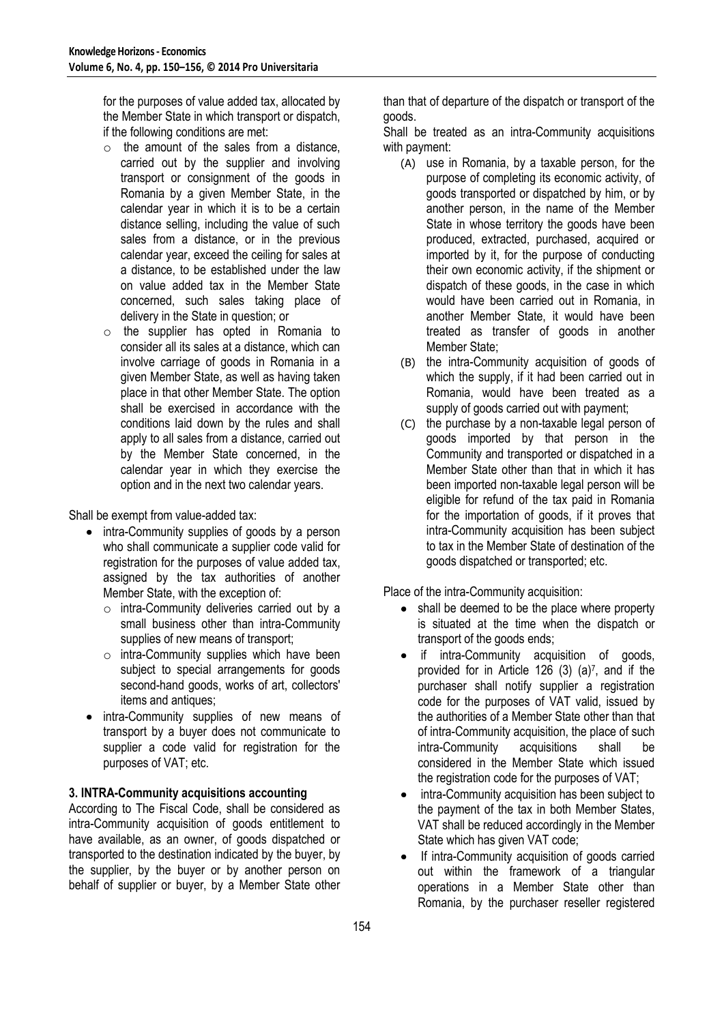for the purposes of value added tax, allocated by the Member State in which transport or dispatch, if the following conditions are met:

- $\circ$  the amount of the sales from a distance. carried out by the supplier and involving transport or consignment of the goods in Romania by a given Member State, in the calendar year in which it is to be a certain distance selling, including the value of such sales from a distance, or in the previous calendar year, exceed the ceiling for sales at a distance, to be established under the law on value added tax in the Member State concerned, such sales taking place of delivery in the State in question; or
- o the supplier has opted in Romania to consider all its sales at a distance, which can involve carriage of goods in Romania in a given Member State, as well as having taken place in that other Member State. The option shall be exercised in accordance with the conditions laid down by the rules and shall apply to all sales from a distance, carried out by the Member State concerned, in the calendar year in which they exercise the option and in the next two calendar years.

Shall be exempt from value-added tax:

- intra-Community supplies of goods by a person who shall communicate a supplier code valid for registration for the purposes of value added tax, assigned by the tax authorities of another Member State, with the exception of:
	- $\circ$  intra-Community deliveries carried out by a small business other than intra-Community supplies of new means of transport;
	- $\circ$  intra-Community supplies which have been subject to special arrangements for goods second-hand goods, works of art, collectors' items and antiques;
- intra-Community supplies of new means of transport by a buyer does not communicate to supplier a code valid for registration for the purposes of VAT; etc.

# **3. INTRA-Community acquisitions accounting**

According to The Fiscal Code, shall be considered as intra-Community acquisition of goods entitlement to have available, as an owner, of goods dispatched or transported to the destination indicated by the buyer, by the supplier, by the buyer or by another person on behalf of supplier or buyer, by a Member State other than that of departure of the dispatch or transport of the goods.

Shall be treated as an intra-Community acquisitions with payment:

- (A) use in Romania, by a taxable person, for the purpose of completing its economic activity, of goods transported or dispatched by him, or by another person, in the name of the Member State in whose territory the goods have been produced, extracted, purchased, acquired or imported by it, for the purpose of conducting their own economic activity, if the shipment or dispatch of these goods, in the case in which would have been carried out in Romania, in another Member State, it would have been treated as transfer of goods in another Member State;
- (B) the intra-Community acquisition of goods of which the supply, if it had been carried out in Romania, would have been treated as a supply of goods carried out with payment;
- (C) the purchase by a non-taxable legal person of goods imported by that person in the Community and transported or dispatched in a Member State other than that in which it has been imported non-taxable legal person will be eligible for refund of the tax paid in Romania for the importation of goods, if it proves that intra-Community acquisition has been subject to tax in the Member State of destination of the goods dispatched or transported; etc.

Place of the intra-Community acquisition:

- shall be deemed to be the place where property is situated at the time when the dispatch or transport of the goods ends;
- if intra-Community acquisition of goods, provided for in Article 126  $(3)$   $(a)^7$ , and if the purchaser shall notify supplier a registration code for the purposes of VAT valid, issued by the authorities of a Member State other than that of intra-Community acquisition, the place of such intra-Community acquisitions shall be considered in the Member State which issued the registration code for the purposes of VAT;
- intra-Community acquisition has been subject to the payment of the tax in both Member States, VAT shall be reduced accordingly in the Member State which has given VAT code;
- If intra-Community acquisition of goods carried out within the framework of a triangular operations in a Member State other than Romania, by the purchaser reseller registered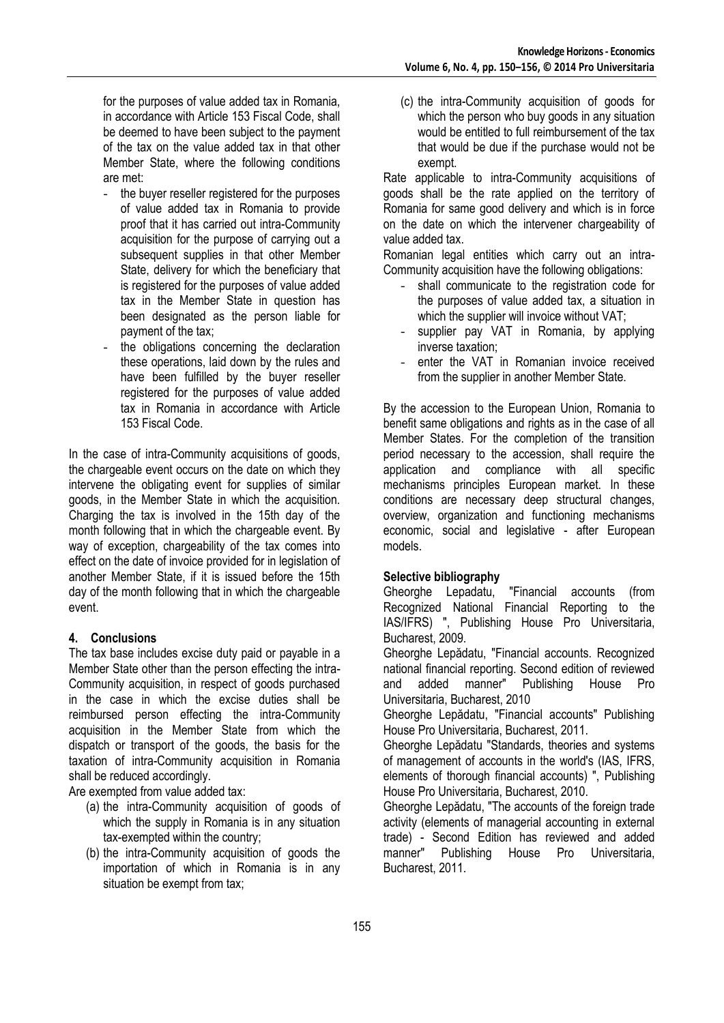for the purposes of value added tax in Romania, in accordance with Article 153 Fiscal Code, shall be deemed to have been subject to the payment of the tax on the value added tax in that other Member State, where the following conditions are met:

- the buyer reseller registered for the purposes of value added tax in Romania to provide proof that it has carried out intra-Community acquisition for the purpose of carrying out a subsequent supplies in that other Member State, delivery for which the beneficiary that is registered for the purposes of value added tax in the Member State in question has been designated as the person liable for payment of the tax;
- the obligations concerning the declaration these operations, laid down by the rules and have been fulfilled by the buyer reseller registered for the purposes of value added tax in Romania in accordance with Article 153 Fiscal Code.

In the case of intra-Community acquisitions of goods, the chargeable event occurs on the date on which they intervene the obligating event for supplies of similar goods, in the Member State in which the acquisition. Charging the tax is involved in the 15th day of the month following that in which the chargeable event. By way of exception, chargeability of the tax comes into effect on the date of invoice provided for in legislation of another Member State, if it is issued before the 15th day of the month following that in which the chargeable event.

# **4. Conclusions**

The tax base includes excise duty paid or payable in a Member State other than the person effecting the intra-Community acquisition, in respect of goods purchased in the case in which the excise duties shall be reimbursed person effecting the intra-Community acquisition in the Member State from which the dispatch or transport of the goods, the basis for the taxation of intra-Community acquisition in Romania shall be reduced accordingly.

Are exempted from value added tax:

- (a) the intra-Community acquisition of goods of which the supply in Romania is in any situation tax-exempted within the country;
- (b) the intra-Community acquisition of goods the importation of which in Romania is in any situation be exempt from tax;

(c) the intra-Community acquisition of goods for which the person who buy goods in any situation would be entitled to full reimbursement of the tax that would be due if the purchase would not be exempt.

Rate applicable to intra-Community acquisitions of goods shall be the rate applied on the territory of Romania for same good delivery and which is in force on the date on which the intervener chargeability of value added tax.

Romanian legal entities which carry out an intra-Community acquisition have the following obligations:

- shall communicate to the registration code for the purposes of value added tax, a situation in which the supplier will invoice without VAT;
- supplier pay VAT in Romania, by applying inverse taxation;
- enter the VAT in Romanian invoice received from the supplier in another Member State.

By the accession to the European Union, Romania to benefit same obligations and rights as in the case of all Member States. For the completion of the transition period necessary to the accession, shall require the application and compliance with all specific mechanisms principles European market. In these conditions are necessary deep structural changes, overview, organization and functioning mechanisms economic, social and legislative - after European models.

#### **Selective bibliography**

Gheorghe Lepadatu, "Financial accounts (from Recognized National Financial Reporting to the IAS/IFRS) ", Publishing House Pro Universitaria, Bucharest, 2009.

Gheorghe Lepădatu, "Financial accounts. Recognized national financial reporting. Second edition of reviewed<br>and added manner" Publishing House Pro and added manner" Publishing House Pro Universitaria, Bucharest, 2010

Gheorghe Lepădatu, "Financial accounts" Publishing House Pro Universitaria, Bucharest, 2011.

Gheorghe Lepădatu "Standards, theories and systems of management of accounts in the world's (IAS, IFRS, elements of thorough financial accounts) ", Publishing House Pro Universitaria, Bucharest, 2010.

Gheorghe Lepădatu, "The accounts of the foreign trade activity (elements of managerial accounting in external trade) - Second Edition has reviewed and added manner" Publishing House Pro Universitaria, Bucharest, 2011.